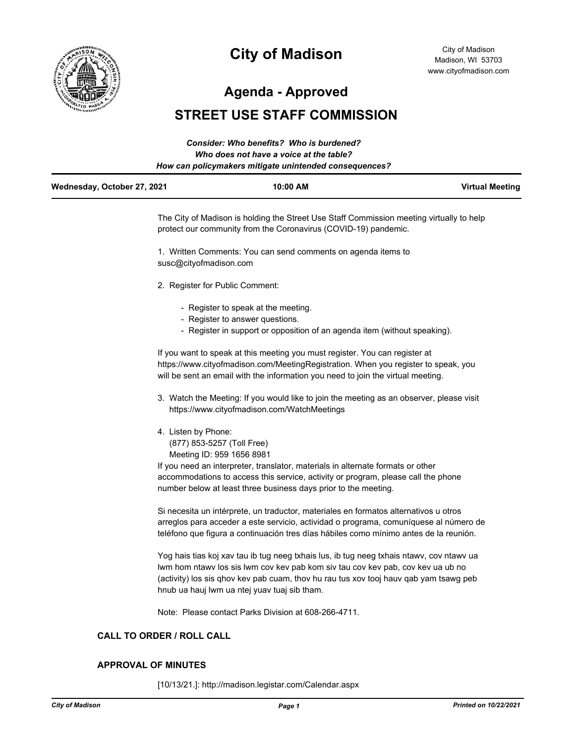

# **City of Madison**

City of Madison Madison, WI 53703 www.cityofmadison.com

**Agenda - Approved**

# **STREET USE STAFF COMMISSION**

|                             | Consider: Who benefits? Who is burdened?               |                        |
|-----------------------------|--------------------------------------------------------|------------------------|
|                             | Who does not have a voice at the table?                |                        |
|                             | How can policymakers mitigate unintended consequences? |                        |
| Wednesday, October 27, 2021 | 10:00 AM                                               | <b>Virtual Meeting</b> |

The City of Madison is holding the Street Use Staff Commission meeting virtually to help protect our community from the Coronavirus (COVID-19) pandemic.

1. Written Comments: You can send comments on agenda items to susc@cityofmadison.com

- 2. Register for Public Comment:
	- Register to speak at the meeting.
	- Register to answer questions.
	- Register in support or opposition of an agenda item (without speaking).

If you want to speak at this meeting you must register. You can register at https://www.cityofmadison.com/MeetingRegistration. When you register to speak, you will be sent an email with the information you need to join the virtual meeting.

- 3. Watch the Meeting: If you would like to join the meeting as an observer, please visit https://www.cityofmadison.com/WatchMeetings
- 4. Listen by Phone: (877) 853-5257 (Toll Free) Meeting ID: 959 1656 8981

If you need an interpreter, translator, materials in alternate formats or other accommodations to access this service, activity or program, please call the phone number below at least three business days prior to the meeting.

Si necesita un intérprete, un traductor, materiales en formatos alternativos u otros arreglos para acceder a este servicio, actividad o programa, comuníquese al número de teléfono que figura a continuación tres días hábiles como mínimo antes de la reunión.

Yog hais tias koj xav tau ib tug neeg txhais lus, ib tug neeg txhais ntawv, cov ntawv ua lwm hom ntawv los sis lwm cov kev pab kom siv tau cov kev pab, cov kev ua ub no (activity) los sis qhov kev pab cuam, thov hu rau tus xov tooj hauv qab yam tsawg peb hnub ua hauj lwm ua ntej yuav tuaj sib tham.

Note: Please contact Parks Division at 608-266-4711.

# **CALL TO ORDER / ROLL CALL**

#### **APPROVAL OF MINUTES**

[10/13/21.]: http://madison.legistar.com/Calendar.aspx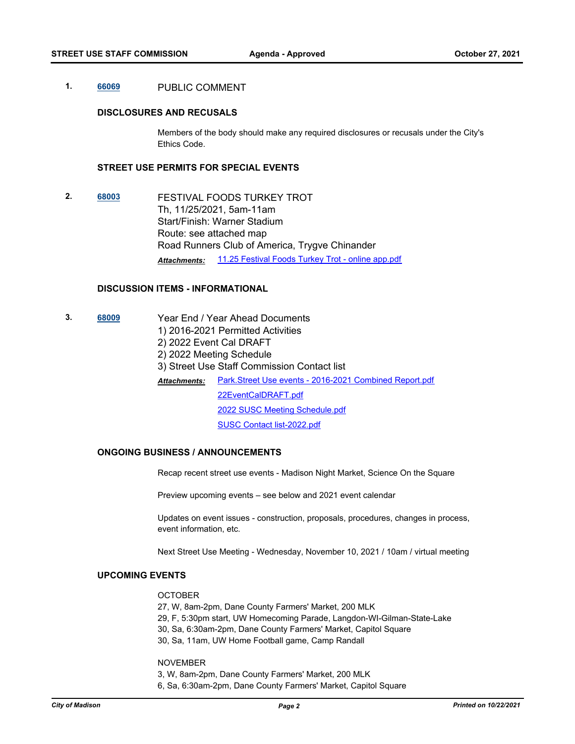## **1. [66069](http://madison.legistar.com/gateway.aspx?m=l&id=/matter.aspx?key=78242)** PUBLIC COMMENT

#### **DISCLOSURES AND RECUSALS**

Members of the body should make any required disclosures or recusals under the City's Ethics Code.

# **STREET USE PERMITS FOR SPECIAL EVENTS**

**2. [68003](http://madison.legistar.com/gateway.aspx?m=l&id=/matter.aspx?key=79785)** FESTIVAL FOODS TURKEY TROT Th, 11/25/2021, 5am-11am Start/Finish: Warner Stadium Route: see attached map Road Runners Club of America, Trygve Chinander *Attachments:* [11.25 Festival Foods Turkey Trot - online app.pdf](http://madison.legistar.com/gateway.aspx?M=F&ID=5fa3c0ca-e089-4751-83b2-687a1fb118f2.pdf)

#### **DISCUSSION ITEMS - INFORMATIONAL**

**3. [68009](http://madison.legistar.com/gateway.aspx?m=l&id=/matter.aspx?key=79791)** Year End / Year Ahead Documents 1) 2016-2021 Permitted Activities 2) 2022 Event Cal DRAFT 2) 2022 Meeting Schedule 3) Street Use Staff Commission Contact list [Park.Street Use events - 2016-2021 Combined Report.pdf](http://madison.legistar.com/gateway.aspx?M=F&ID=16b5a13f-d5f5-48c2-bd4a-adc93ba55465.pdf) [22EventCalDRAFT.pdf](http://madison.legistar.com/gateway.aspx?M=F&ID=9b724cbb-23fc-48d1-9768-3e3cb3e72cd8.pdf) [2022 SUSC Meeting Schedule.pdf](http://madison.legistar.com/gateway.aspx?M=F&ID=7ac6b5ec-e13c-496f-b83d-35de19e3fb76.pdf) [SUSC Contact list-2022.pdf](http://madison.legistar.com/gateway.aspx?M=F&ID=e1ee5627-e566-4ac3-af09-9b2cfa679cae.pdf) *Attachments:*

### **ONGOING BUSINESS / ANNOUNCEMENTS**

Recap recent street use events - Madison Night Market, Science On the Square

Preview upcoming events – see below and 2021 event calendar

Updates on event issues - construction, proposals, procedures, changes in process, event information, etc.

Next Street Use Meeting - Wednesday, November 10, 2021 / 10am / virtual meeting

#### **UPCOMING EVENTS**

#### **OCTOBER**

27, W, 8am-2pm, Dane County Farmers' Market, 200 MLK 29, F, 5:30pm start, UW Homecoming Parade, Langdon-WI-Gilman-State-Lake

30, Sa, 6:30am-2pm, Dane County Farmers' Market, Capitol Square

30, Sa, 11am, UW Home Football game, Camp Randall

#### NOVEMBER

3, W, 8am-2pm, Dane County Farmers' Market, 200 MLK 6, Sa, 6:30am-2pm, Dane County Farmers' Market, Capitol Square